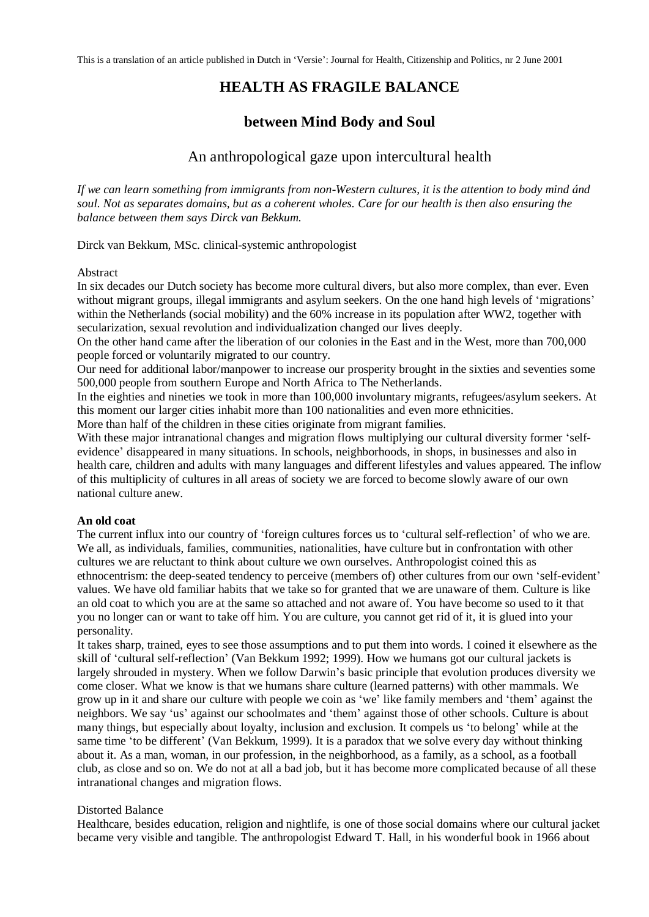# **HEALTH AS FRAGILE BALANCE**

## **between Mind Body and Soul**

## An anthropological gaze upon intercultural health

*If we can learn something from immigrants from non-Western cultures, it is the attention to body mind ánd soul. Not as separates domains, but as a coherent wholes. Care for our health is then also ensuring the balance between them says Dirck van Bekkum.*

Dirck van Bekkum, MSc. clinical-systemic anthropologist

#### Abstract

In six decades our Dutch society has become more cultural divers, but also more complex, than ever. Even without migrant groups, illegal immigrants and asylum seekers. On the one hand high levels of 'migrations' within the Netherlands (social mobility) and the 60% increase in its population after WW2, together with secularization, sexual revolution and individualization changed our lives deeply.

On the other hand came after the liberation of our colonies in the East and in the West, more than 700,000 people forced or voluntarily migrated to our country.

Our need for additional labor/manpower to increase our prosperity brought in the sixties and seventies some 500,000 people from southern Europe and North Africa to The Netherlands.

In the eighties and nineties we took in more than 100,000 involuntary migrants, refugees/asylum seekers. At this moment our larger cities inhabit more than 100 nationalities and even more ethnicities.

More than half of the children in these cities originate from migrant families.

With these major intranational changes and migration flows multiplying our cultural diversity former 'selfevidence' disappeared in many situations. In schools, neighborhoods, in shops, in businesses and also in health care, children and adults with many languages and different lifestyles and values appeared. The inflow of this multiplicity of cultures in all areas of society we are forced to become slowly aware of our own national culture anew.

### **An old coat**

The current influx into our country of 'foreign cultures forces us to 'cultural self-reflection' of who we are. We all, as individuals, families, communities, nationalities, have culture but in confrontation with other cultures we are reluctant to think about culture we own ourselves. Anthropologist coined this as ethnocentrism: the deep-seated tendency to perceive (members of) other cultures from our own 'self-evident' values. We have old familiar habits that we take so for granted that we are unaware of them. Culture is like an old coat to which you are at the same so attached and not aware of. You have become so used to it that you no longer can or want to take off him. You are culture, you cannot get rid of it, it is glued into your personality.

It takes sharp, trained, eyes to see those assumptions and to put them into words. I coined it elsewhere as the skill of 'cultural self-reflection' (Van Bekkum 1992; 1999). How we humans got our cultural jackets is largely shrouded in mystery. When we follow Darwin's basic principle that evolution produces diversity we come closer. What we know is that we humans share culture (learned patterns) with other mammals. We grow up in it and share our culture with people we coin as 'we' like family members and 'them' against the neighbors. We say 'us' against our schoolmates and 'them' against those of other schools. Culture is about many things, but especially about loyalty, inclusion and exclusion. It compels us 'to belong' while at the same time 'to be different' (Van Bekkum, 1999). It is a paradox that we solve every day without thinking about it. As a man, woman, in our profession, in the neighborhood, as a family, as a school, as a football club, as close and so on. We do not at all a bad job, but it has become more complicated because of all these intranational changes and migration flows.

#### Distorted Balance

Healthcare, besides education, religion and nightlife, is one of those social domains where our cultural jacket became very visible and tangible. The anthropologist Edward T. Hall, in his wonderful book in 1966 about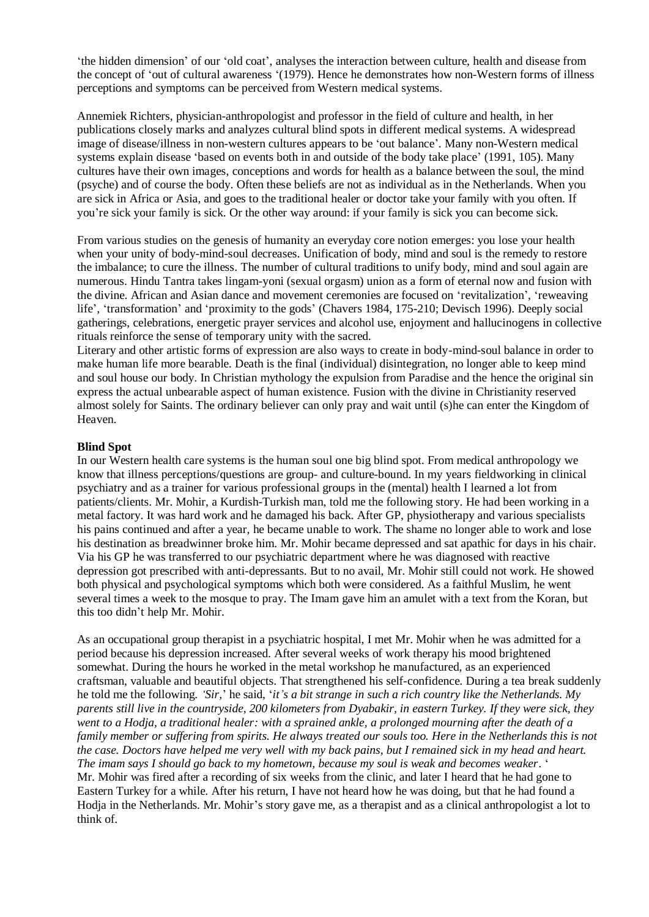'the hidden dimension' of our 'old coat', analyses the interaction between culture, health and disease from the concept of 'out of cultural awareness '(1979). Hence he demonstrates how non-Western forms of illness perceptions and symptoms can be perceived from Western medical systems.

Annemiek Richters, physician-anthropologist and professor in the field of culture and health, in her publications closely marks and analyzes cultural blind spots in different medical systems. A widespread image of disease/illness in non-western cultures appears to be 'out balance'. Many non-Western medical systems explain disease 'based on events both in and outside of the body take place' (1991, 105). Many cultures have their own images, conceptions and words for health as a balance between the soul, the mind (psyche) and of course the body. Often these beliefs are not as individual as in the Netherlands. When you are sick in Africa or Asia, and goes to the traditional healer or doctor take your family with you often. If you're sick your family is sick. Or the other way around: if your family is sick you can become sick.

From various studies on the genesis of humanity an everyday core notion emerges: you lose your health when your unity of body-mind-soul decreases. Unification of body, mind and soul is the remedy to restore the imbalance; to cure the illness. The number of cultural traditions to unify body, mind and soul again are numerous. Hindu Tantra takes lingam-yoni (sexual orgasm) union as a form of eternal now and fusion with the divine. African and Asian dance and movement ceremonies are focused on 'revitalization', 'reweaving life', 'transformation' and 'proximity to the gods' (Chavers 1984, 175-210; Devisch 1996). Deeply social gatherings, celebrations, energetic prayer services and alcohol use, enjoyment and hallucinogens in collective rituals reinforce the sense of temporary unity with the sacred.

Literary and other artistic forms of expression are also ways to create in body-mind-soul balance in order to make human life more bearable. Death is the final (individual) disintegration, no longer able to keep mind and soul house our body. In Christian mythology the expulsion from Paradise and the hence the original sin express the actual unbearable aspect of human existence. Fusion with the divine in Christianity reserved almost solely for Saints. The ordinary believer can only pray and wait until (s)he can enter the Kingdom of Heaven.

### **Blind Spot**

In our Western health care systems is the human soul one big blind spot. From medical anthropology we know that illness perceptions/questions are group- and culture-bound. In my years fieldworking in clinical psychiatry and as a trainer for various professional groups in the (mental) health I learned a lot from patients/clients. Mr. Mohir, a Kurdish-Turkish man, told me the following story. He had been working in a metal factory. It was hard work and he damaged his back. After GP, physiotherapy and various specialists his pains continued and after a year, he became unable to work. The shame no longer able to work and lose his destination as breadwinner broke him. Mr. Mohir became depressed and sat apathic for days in his chair. Via his GP he was transferred to our psychiatric department where he was diagnosed with reactive depression got prescribed with anti-depressants. But to no avail, Mr. Mohir still could not work. He showed both physical and psychological symptoms which both were considered. As a faithful Muslim, he went several times a week to the mosque to pray. The Imam gave him an amulet with a text from the Koran, but this too didn't help Mr. Mohir.

As an occupational group therapist in a psychiatric hospital, I met Mr. Mohir when he was admitted for a period because his depression increased. After several weeks of work therapy his mood brightened somewhat. During the hours he worked in the metal workshop he manufactured, as an experienced craftsman, valuable and beautiful objects. That strengthened his self-confidence. During a tea break suddenly he told me the following. *'Sir,*' he said, '*it's a bit strange in such a rich country like the Netherlands. My parents still live in the countryside, 200 kilometers from Dyabakir, in eastern Turkey. If they were sick, they went to a Hodja, a traditional healer: with a sprained ankle, a prolonged mourning after the death of a family member or suffering from spirits. He always treated our souls too. Here in the Netherlands this is not the case. Doctors have helped me very well with my back pains, but I remained sick in my head and heart. The imam says I should go back to my hometown, because my soul is weak and becomes weaker*. ' Mr. Mohir was fired after a recording of six weeks from the clinic, and later I heard that he had gone to Eastern Turkey for a while. After his return, I have not heard how he was doing, but that he had found a Hodja in the Netherlands. Mr. Mohir's story gave me, as a therapist and as a clinical anthropologist a lot to think of.